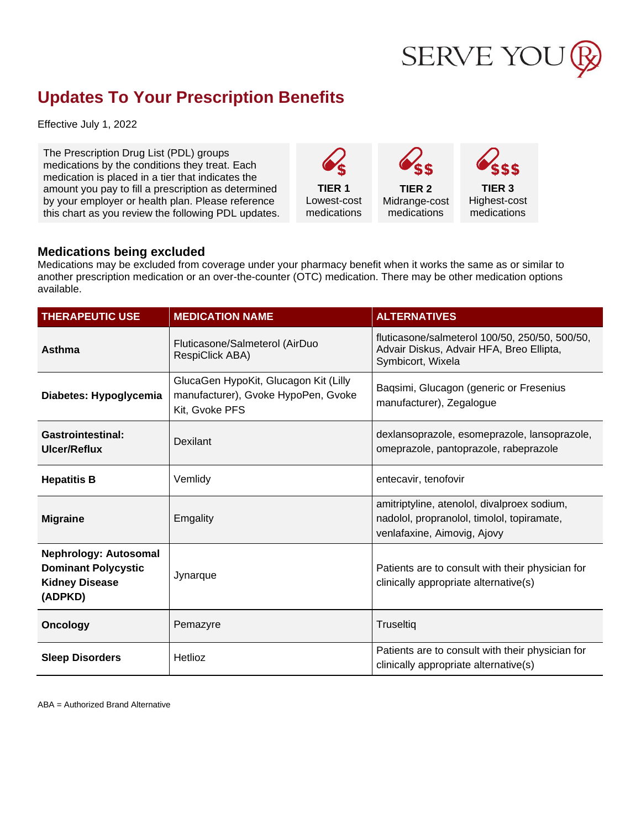

## **Updates To Your Prescription Benefits**

Effective July 1, 2022

The Prescription Drug List (PDL) groups medications by the conditions they treat. Each medication is placed in a tier that indicates the amount you pay to fill a prescription as determined by your employer or health plan. Please reference this chart as you review the following PDL updates.

**TIER 1** Lowest-cost medications

**TIER 2** Midrange-cost medications

**TIER 3** Highest-cost

medications

## **Medications being excluded**

Medications may be excluded from coverage under your pharmacy benefit when it works the same as or similar to another prescription medication or an over-the-counter (OTC) medication. There may be other medication options available.

| <b>THERAPEUTIC USE</b>                                                                         | <b>MEDICATION NAME</b>                                                                         | <b>ALTERNATIVES</b>                                                                                                      |
|------------------------------------------------------------------------------------------------|------------------------------------------------------------------------------------------------|--------------------------------------------------------------------------------------------------------------------------|
| <b>Asthma</b>                                                                                  | Fluticasone/Salmeterol (AirDuo<br>RespiClick ABA)                                              | fluticasone/salmeterol 100/50, 250/50, 500/50,<br>Advair Diskus, Advair HFA, Breo Ellipta,<br>Symbicort, Wixela          |
| Diabetes: Hypoglycemia                                                                         | GlucaGen HypoKit, Glucagon Kit (Lilly<br>manufacturer), Gvoke HypoPen, Gvoke<br>Kit, Gvoke PFS | Baqsimi, Glucagon (generic or Fresenius<br>manufacturer), Zegalogue                                                      |
| <b>Gastrointestinal:</b><br>Ulcer/Reflux                                                       | Dexilant                                                                                       | dexlansoprazole, esomeprazole, lansoprazole,<br>omeprazole, pantoprazole, rabeprazole                                    |
| <b>Hepatitis B</b>                                                                             | Vemlidy                                                                                        | entecavir, tenofovir                                                                                                     |
| <b>Migraine</b>                                                                                | Emgality                                                                                       | amitriptyline, atenolol, divalproex sodium,<br>nadolol, propranolol, timolol, topiramate,<br>venlafaxine, Aimovig, Ajovy |
| <b>Nephrology: Autosomal</b><br><b>Dominant Polycystic</b><br><b>Kidney Disease</b><br>(ADPKD) | Jynarque                                                                                       | Patients are to consult with their physician for<br>clinically appropriate alternative(s)                                |
| <b>Oncology</b>                                                                                | Pemazyre                                                                                       | Truseltiq                                                                                                                |
| <b>Sleep Disorders</b>                                                                         | Hetlioz                                                                                        | Patients are to consult with their physician for<br>clinically appropriate alternative(s)                                |

ABA = Authorized Brand Alternative